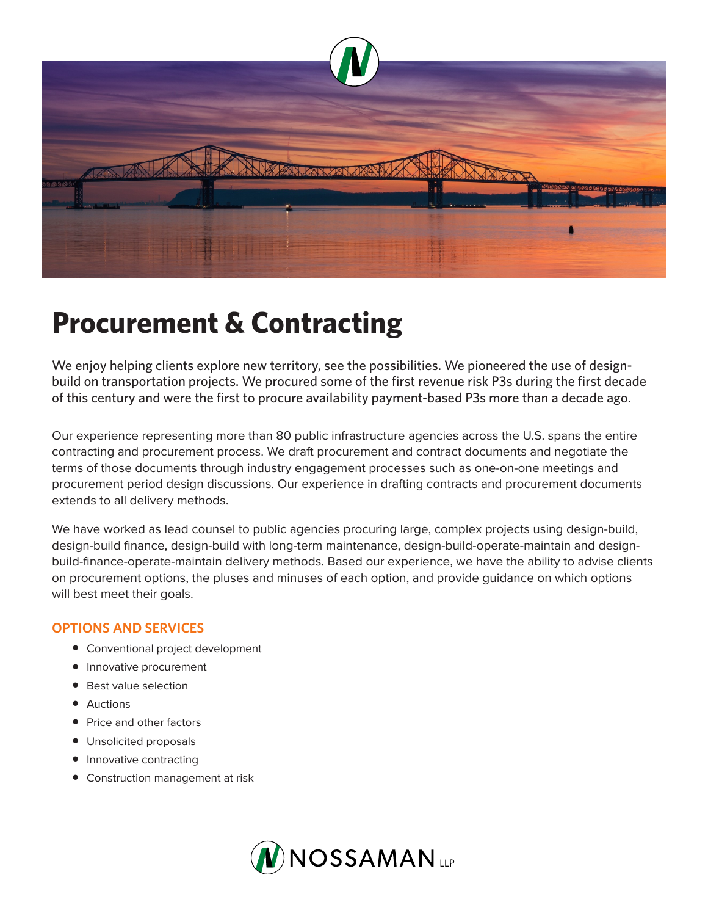

## **Procurement & Contracting**

We enjoy helping clients explore new territory, see the possibilities. We pioneered the use of designbuild on transportation projects. We procured some of the first revenue risk P3s during the first decade of this century and were the first to procure availability payment-based P3s more than a decade ago.

Our experience representing more than 80 public infrastructure agencies across the U.S. spans the entire contracting and procurement process. We draft procurement and contract documents and negotiate the terms of those documents through industry engagement processes such as one-on-one meetings and procurement period design discussions. Our experience in drafting contracts and procurement documents extends to all delivery methods.

We have worked as lead counsel to public agencies procuring large, complex projects using design-build, design-build finance, design-build with long-term maintenance, design-build-operate-maintain and designbuild-finance-operate-maintain delivery methods. Based our experience, we have the ability to advise clients on procurement options, the pluses and minuses of each option, and provide guidance on which options will best meet their goals.

## **OPTIONS AND SERVICES**

- Conventional project development
- Innovative procurement
- Best value selection
- Auctions
- Price and other factors
- Unsolicited proposals
- Innovative contracting
- Construction management at risk